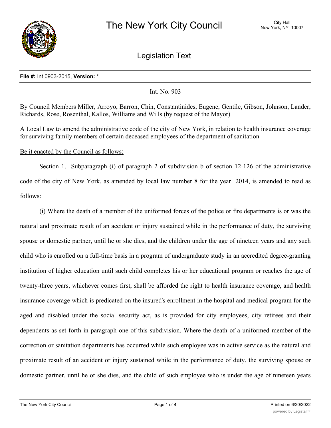

Legislation Text

## **File #:** Int 0903-2015, **Version:** \*

Int. No. 903

By Council Members Miller, Arroyo, Barron, Chin, Constantinides, Eugene, Gentile, Gibson, Johnson, Lander, Richards, Rose, Rosenthal, Kallos, Williams and Wills (by request of the Mayor)

A Local Law to amend the administrative code of the city of New York, in relation to health insurance coverage for surviving family members of certain deceased employees of the department of sanitation

Be it enacted by the Council as follows:

Section 1. Subparagraph (i) of paragraph 2 of subdivision b of section 12-126 of the administrative code of the city of New York, as amended by local law number 8 for the year 2014, is amended to read as follows:

(i) Where the death of a member of the uniformed forces of the police or fire departments is or was the natural and proximate result of an accident or injury sustained while in the performance of duty, the surviving spouse or domestic partner, until he or she dies, and the children under the age of nineteen years and any such child who is enrolled on a full-time basis in a program of undergraduate study in an accredited degree-granting institution of higher education until such child completes his or her educational program or reaches the age of twenty-three years, whichever comes first, shall be afforded the right to health insurance coverage, and health insurance coverage which is predicated on the insured's enrollment in the hospital and medical program for the aged and disabled under the social security act, as is provided for city employees, city retirees and their dependents as set forth in paragraph one of this subdivision. Where the death of a uniformed member of the correction or sanitation departments has occurred while such employee was in active service as the natural and proximate result of an accident or injury sustained while in the performance of duty, the surviving spouse or domestic partner, until he or she dies, and the child of such employee who is under the age of nineteen years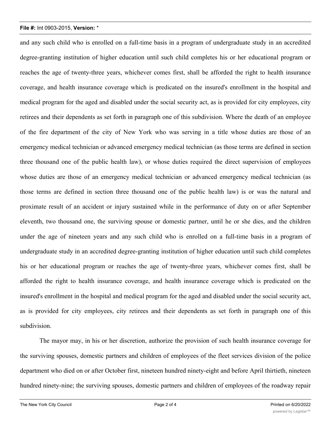## **File #:** Int 0903-2015, **Version:** \*

and any such child who is enrolled on a full-time basis in a program of undergraduate study in an accredited degree-granting institution of higher education until such child completes his or her educational program or reaches the age of twenty-three years, whichever comes first, shall be afforded the right to health insurance coverage, and health insurance coverage which is predicated on the insured's enrollment in the hospital and medical program for the aged and disabled under the social security act, as is provided for city employees, city retirees and their dependents as set forth in paragraph one of this subdivision. Where the death of an employee of the fire department of the city of New York who was serving in a title whose duties are those of an emergency medical technician or advanced emergency medical technician (as those terms are defined in section three thousand one of the public health law), or whose duties required the direct supervision of employees whose duties are those of an emergency medical technician or advanced emergency medical technician (as those terms are defined in section three thousand one of the public health law) is or was the natural and proximate result of an accident or injury sustained while in the performance of duty on or after September eleventh, two thousand one, the surviving spouse or domestic partner, until he or she dies, and the children under the age of nineteen years and any such child who is enrolled on a full-time basis in a program of undergraduate study in an accredited degree-granting institution of higher education until such child completes his or her educational program or reaches the age of twenty-three years, whichever comes first, shall be afforded the right to health insurance coverage, and health insurance coverage which is predicated on the insured's enrollment in the hospital and medical program for the aged and disabled under the social security act, as is provided for city employees, city retirees and their dependents as set forth in paragraph one of this subdivision.

The mayor may, in his or her discretion, authorize the provision of such health insurance coverage for the surviving spouses, domestic partners and children of employees of the fleet services division of the police department who died on or after October first, nineteen hundred ninety-eight and before April thirtieth, nineteen hundred ninety-nine; the surviving spouses, domestic partners and children of employees of the roadway repair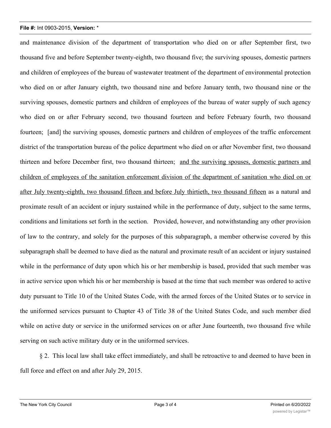## **File #:** Int 0903-2015, **Version:** \*

and maintenance division of the department of transportation who died on or after September first, two thousand five and before September twenty-eighth, two thousand five; the surviving spouses, domestic partners and children of employees of the bureau of wastewater treatment of the department of environmental protection who died on or after January eighth, two thousand nine and before January tenth, two thousand nine or the surviving spouses, domestic partners and children of employees of the bureau of water supply of such agency who died on or after February second, two thousand fourteen and before February fourth, two thousand fourteen; [and] the surviving spouses, domestic partners and children of employees of the traffic enforcement district of the transportation bureau of the police department who died on or after November first, two thousand thirteen and before December first, two thousand thirteen; and the surviving spouses, domestic partners and children of employees of the sanitation enforcement division of the department of sanitation who died on or after July twenty-eighth, two thousand fifteen and before July thirtieth, two thousand fifteen as a natural and proximate result of an accident or injury sustained while in the performance of duty, subject to the same terms, conditions and limitations set forth in the section. Provided, however, and notwithstanding any other provision of law to the contrary, and solely for the purposes of this subparagraph, a member otherwise covered by this subparagraph shall be deemed to have died as the natural and proximate result of an accident or injury sustained while in the performance of duty upon which his or her membership is based, provided that such member was in active service upon which his or her membership is based at the time that such member was ordered to active duty pursuant to Title 10 of the United States Code, with the armed forces of the United States or to service in the uniformed services pursuant to Chapter 43 of Title 38 of the United States Code, and such member died while on active duty or service in the uniformed services on or after June fourteenth, two thousand five while serving on such active military duty or in the uniformed services.

§ 2. This local law shall take effect immediately, and shall be retroactive to and deemed to have been in full force and effect on and after July 29, 2015.